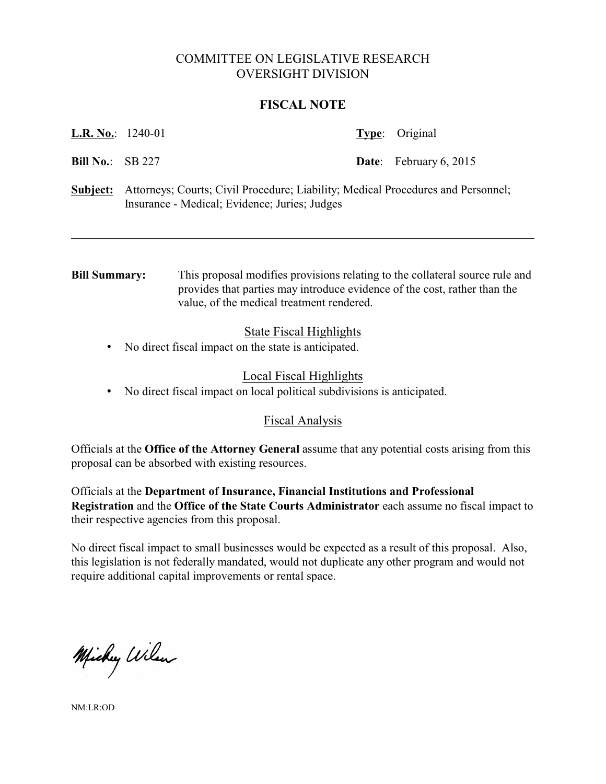# COMMITTEE ON LEGISLATIVE RESEARCH OVERSIGHT DIVISION

### **FISCAL NOTE**

| L.R. No.: | 1240-01 |
|-----------|---------|
|-----------|---------|

**Type:** Original

**Bill No.:** SB 227 **Date**: February 6, 2015

**Subject:** Attorneys; Courts; Civil Procedure; Liability; Medical Procedures and Personnel; Insurance - Medical; Evidence; Juries; Judges

**Bill Summary:** This proposal modifies provisions relating to the collateral source rule and provides that parties may introduce evidence of the cost, rather than the value, of the medical treatment rendered.

## State Fiscal Highlights

• No direct fiscal impact on the state is anticipated.

## Local Fiscal Highlights

• No direct fiscal impact on local political subdivisions is anticipated.

## Fiscal Analysis

Officials at the **Office of the Attorney General** assume that any potential costs arising from this proposal can be absorbed with existing resources.

Officials at the **Department of Insurance, Financial Institutions and Professional Registration** and the **Office of the State Courts Administrator** each assume no fiscal impact to their respective agencies from this proposal.

No direct fiscal impact to small businesses would be expected as a result of this proposal. Also, this legislation is not federally mandated, would not duplicate any other program and would not require additional capital improvements or rental space.

Michy Wilson

NM:LR:OD